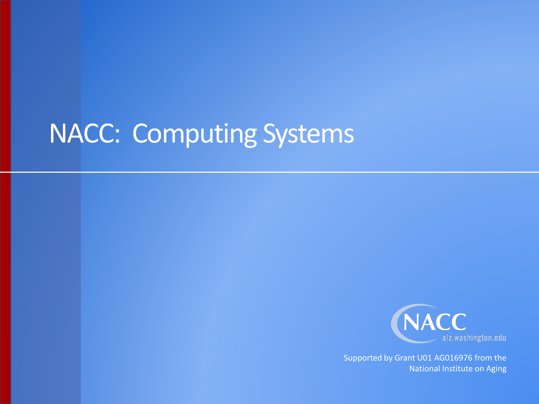## NACC: Computing Systems



Supported by Grant U01 AG016976 from the National Institute on Aging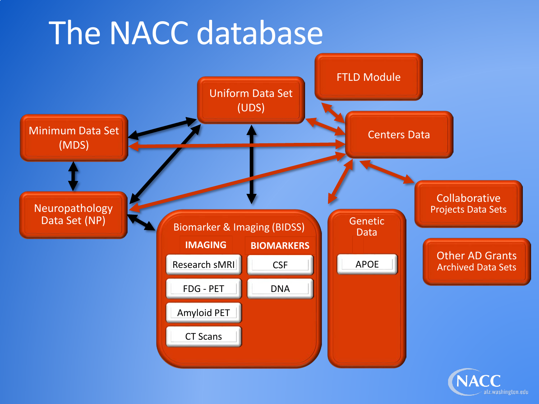# The NACC database



alz.washington.edu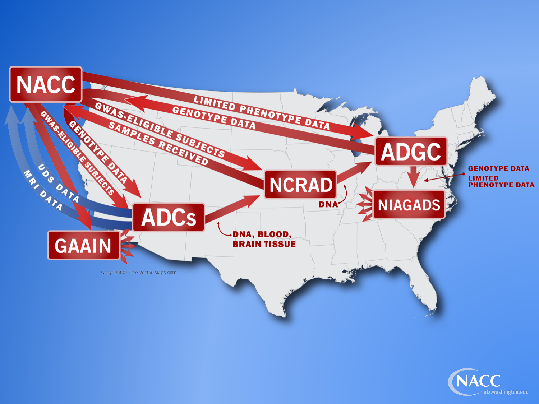

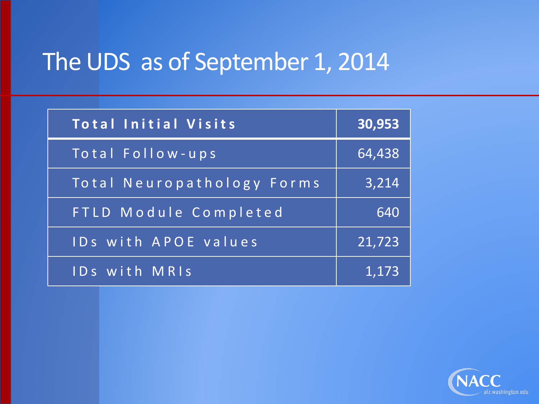## The UDS as of September 1, 2014

| <b>Total Initial Visits</b> | 30,953 |
|-----------------------------|--------|
| Total Follow-ups            | 64,438 |
| Total Neuropathology Forms  | 3,214  |
| FTLD Module Completed       | 640    |
| <b>IDs with APOE values</b> | 21,723 |
| IDs with MRIS               | 1,173  |

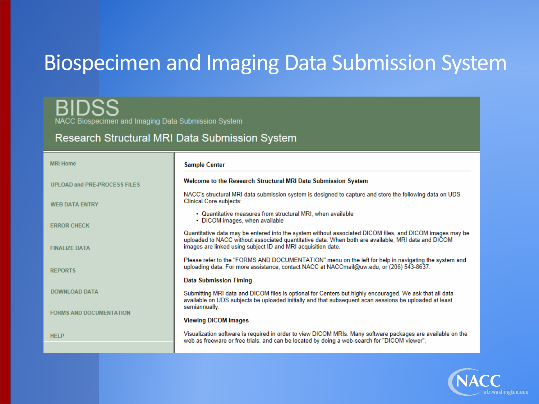### Biospecimen and Imaging Data Submission System

H NACC Biospecimen and Imaging Data Submission System

#### Research Structural MRI Data Submission System

| <b>MRI Home</b>                     | <b>Sample Center</b>                                                                                                                                                                                                                                                           |
|-------------------------------------|--------------------------------------------------------------------------------------------------------------------------------------------------------------------------------------------------------------------------------------------------------------------------------|
| <b>UPLOAD and PRE-PROCESS FILES</b> | Welcome to the Research Structural MRI Data Submission System                                                                                                                                                                                                                  |
| <b>WEB DATA ENTRY</b>               | NACC's structural MRI data submission system is designed to capture and store the following data on UDS<br><b>Clinical Core subjects:</b>                                                                                                                                      |
| <b>ERROR CHECK</b>                  | • Quantitative measures from structural MRI, when available<br>• DICOM images, when available                                                                                                                                                                                  |
| <b>FINALIZE DATA</b>                | Quantitative data may be entered into the system without associated DICOM files, and DICOM images may be<br>uploaded to NACC without associated quantitative data. When both are available, MRI data and DICOM<br>images are linked using subject ID and MRI acquisition date. |
| <b>REPORTS</b>                      | Please refer to the "FORMS AND DOCUMENTATION" menu on the left for help in navigating the system and<br>uploading data. For more assistance, contact NACC at NACCmail@uw.edu, or (206) 543-8637.                                                                               |
|                                     | <b>Data Submission Timing</b>                                                                                                                                                                                                                                                  |
| <b>DOWNLOAD DATA</b>                | Submitting MRI data and DICOM files is optional for Centers but highly encouraged. We ask that all data<br>available on UDS subjects be uploaded initially and that subsequent scan sessions be uploaded at least                                                              |
| <b>FORMS AND DOCUMENTATION</b>      | semiannually.<br><b>Viewing DICOM Images</b>                                                                                                                                                                                                                                   |
| <b>HELP</b>                         | Visualization software is required in order to view DICOM MRIs. Many software packages are available on the<br>web as freeware or free trials, and can be located by doing a web-search for "DICOM viewer".                                                                    |
|                                     |                                                                                                                                                                                                                                                                                |

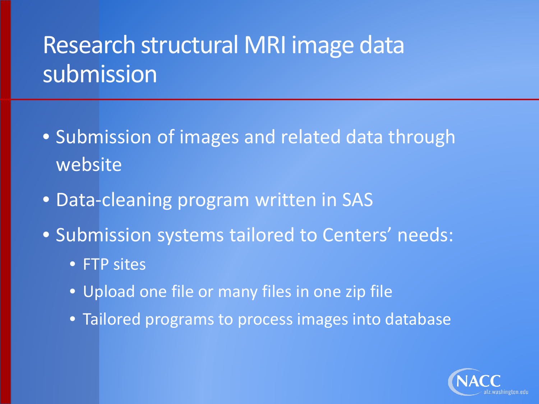## Research structural MRI image data submission

- Submission of images and related data through website
- Data-cleaning program written in SAS
- Submission systems tailored to Centers' needs:
	- **FTP sites**
	- Upload one file or many files in one zip file
	- Tailored programs to process images into database

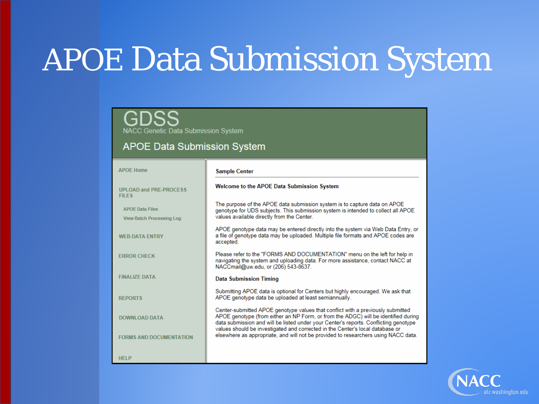# APOE Data Submission System

NACC Genetic Data Submission System

#### **APOE Data Submission System**

| <b>APOF Home</b>                                           | <b>Sample Center</b>                                                                                                                                                                                                                                                                                                                           |
|------------------------------------------------------------|------------------------------------------------------------------------------------------------------------------------------------------------------------------------------------------------------------------------------------------------------------------------------------------------------------------------------------------------|
| UPI OAD and PRE-PROCESS<br><b>FILES</b>                    | <b>Welcome to the APOE Data Submission System</b>                                                                                                                                                                                                                                                                                              |
| <b>APOE Data Files</b><br><b>View Batch Processing Log</b> | The purpose of the APOE data submission system is to capture data on APOE<br>genotype for UDS subjects. This submission system is intended to collect all APOE<br>values available directly from the Center.                                                                                                                                   |
| <b>WEB DATA ENTRY</b>                                      | APOE genotype data may be entered directly into the system via Web Data Entry, or<br>a file of genotype data may be uploaded. Multiple file formats and APOE codes are<br>accepted.                                                                                                                                                            |
| <b>FRROR CHECK</b>                                         | Please refer to the "FORMS AND DOCUMENTATION" menu on the left for help in<br>navigating the system and uploading data. For more assistance, contact NACC at<br>NACCmail@uw.edu, or (206) 543-8637.                                                                                                                                            |
| <b>FINALIZE DATA</b>                                       | <b>Data Submission Timing</b>                                                                                                                                                                                                                                                                                                                  |
| <b>REPORTS</b>                                             | Submitting APOE data is optional for Centers but highly encouraged. We ask that<br>APOE genotype data be uploaded at least semiannually.                                                                                                                                                                                                       |
| <b>DOWNLOAD DATA</b>                                       | Center-submitted APOE genotype values that conflict with a previously submitted<br>APOE genotype (from either an NP Form, or from the ADGC) will be identified during<br>data submission and will be listed under your Center's reports. Conflicting genotype<br>values should be investigated and corrected in the Center's local database or |
| <b>FORMS AND DOCUMENTATION</b>                             | elsewhere as appropriate, and will not be provided to researchers using NACC data.                                                                                                                                                                                                                                                             |
| <b>HELP</b>                                                |                                                                                                                                                                                                                                                                                                                                                |

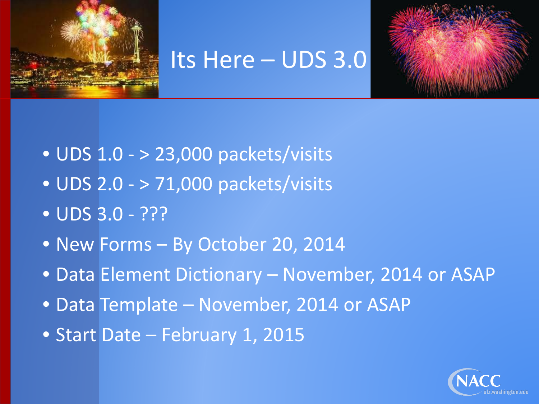

#### Its Here – UDS 3.0



- UDS 1.0 > 23,000 packets/visits
- UDS 2.0 > 71,000 packets/visits
- UDS 3.0 ???
- New Forms By October 20, 2014
- Data Element Dictionary November, 2014 or ASAP
- Data Template November, 2014 or ASAP
- Start Date February 1, 2015